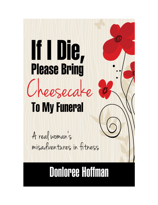# If U Die, **Please Bring** Cheesecake

# **To My Funeral**

A real woman's misadventures in fitness

# **Donloree Hoffman**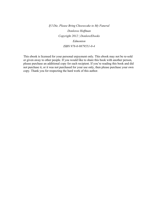*If I Die, Please Bring Cheesecake to My Funeral Donloree Hoffman Copyright 2012 | DonloreEbooks Edmonton ISBN 978-0-9879551-0-4*

This ebook is licensed for your personal enjoyment only. This ebook may not be re-sold or given away to other people. If you would like to share this book with another person, please purchase an additional copy for each recipient. If you're reading this book and did not purchase it, or it was not purchased for your use only, then please purchase your own copy. Thank you for respecting the hard work of this author.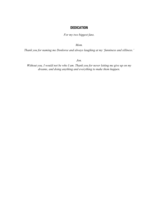# **DEDICATION**

*For my two biggest fans.*

*Mom.*

*Thank you for naming me Donloree and always laughing at my 'funniness and silliness.'*

*Jon.*

*Without you, I would not be who I am. Thank you for never letting me give up on my dreams, and doing anything and everything to make them happen.*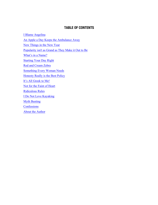# **TABLE OF CONTENTS**

I Blame Angelina An Apple a Day Keeps the Ambulance Away New Things in the New Year Popularity isn't as Grand as They Make it Out to Be What's in a Name? Starting Your Day Right Red and Cream Zebra Something Every Woman Needs Honesty Really is the Best Policy It's All Greek to Me! Not for the Faint of Heart Ridiculous Rules I Do Not Love Kayaking Myth Busting **Confessions** About the Author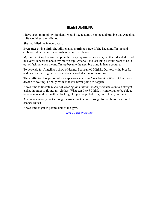# **I BLAME ANGELINA**

I have spent more of my life than I would like to admit, hoping and praying that Angelina Jolie would get a muffin top.

She has failed me in every way.

Even after giving birth, she still remains muffin top free. If she had a muffin top and embraced it, all women everywhere would be liberated.

My faith in Angelina to champion the everyday woman was so great that I decided to not be overly concerned about my muffin top. After all, the last thing I would want to be is out of fashion when the muffin top became the next big thing in haute couture.

To be ready for Angelina's show of daring, I consumed M&Ms, Doritos, white breads, and pastries on a regular basis, and also avoided strenuous exercise.

The muffin top has yet to make an appearance at New York Fashion Week. After over a decade of waiting, I finally realized it was never going to happen.

It was time to liberate myself of wearing *foundational undergarments,* akin to a straight jacket, in order to fit into my clothes. What can I say? I think it's important to be able to breathe *and* sit down without looking like you've pulled every muscle in your back.

A woman can only wait so long for Angelina to come through for her before its time to change tactics.

It was time to get to get my arse to the gym.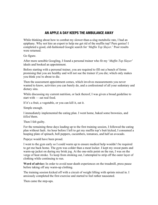# **AN APPLE A DAY KEEPS THE AMBULANCE AWAY**

While thinking about how to combat my slower-than-a-slug metabolic rate, I had an epiphany. Why not hire an expert to help me get rid of the muffin top? Pure genius! I completed a good, old-fashioned Google search for '*Muffin Top Slayer*.' Poor results were returned.

Go figure.

After more sensible Googling, I found a personal trainer who fit my '*Muffin Top Slayer*' ideals and booked an appointment.

Before starting with a personal trainer, you are required to fill out a bunch of forms promising that you are healthy and will not sue the trainer if you die; which only makes you think you're about to die.

Then the assessment appointment comes, which involves measurements you never wanted to know, activities you can barely do, and a confessional of all your sedentary and dietary sins.

While discussing my current nutrition, or lack thereof, I was given a broad guideline to start with — eat real food.

If it's a fruit, a vegetable, or you can kill it, eat it.

Simple enough.

I immediately implemented the eating plan. I went home, baked some brownies, and *killed* them.

Then I felt guilty.

For the remaining three days leading up to the first training session, I followed the eating plan without fault. An hour before I left to get my muffin top's butt kicked, I consumed a heaping plate of spinach, bell peppers, cucumbers, tomatoes, and half an avocado.

Popeye would have been proud.

I went to the gym early so I could warm up to ensure medical help wouldn't be required to get me back home. The gym was colder than a meat locker. I kept my sweat pants and warm-up jacket on during my brisk jog. At the one-mile point on the run, I was on the verge of heat stroke. To keep from stroking out, I attempted to strip off the outer layer of clothing while continuing to run.

**Word of advice:** In order to avoid near-death experiences on the treadmill, press pause before taking off any warm-up clothing.

The training session kicked off with a circuit of weight lifting with sprints mixed in. I anxiously completed the first exercise and started to feel rather nauseated.

Then came the step-ups.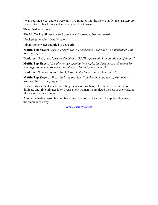I was pouring sweat and we were only two minutes into the work out. On the last step-up, I started to see black dots and suddenly had to sit down.

Then I had to lie down.

The Muffin Top Slayer towered over me and looked rather concerned.

I looked quite pale…deathly pale.

I drank some water and tried to get a grip.

**Muffin Top Slayer**: *"Are you okay? Do you need some Gatorade? An ambulance? You look really pale.*

**Donloree**: *"I'm good. I just need a minute. GOSH. Apparently I am totally out of shape."*

**Muffin Top Slayer**: *"It's always eye-opening for people, but I am surprised, seeing how you do go to the gym somewhat regularly. What did you eat today?"*

**Donloree**: *"I ate really well. Heck, I even had a huge salad an hour ago."*

**Muffin Top Slayer**: "*Ahh…that's the problem. You should eat a piece of fruit before training. Here, eat my apple."*

I sheepishly ate the Gala while sitting on an exercise bike. The black spots started to dissipate and, five minutes later, I was a new woman. I completed the rest of the workout like a woman on a mission.

Another valuable lesson learned from the school of hard knocks: An apple a day keeps the ambulance away.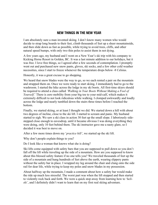# **NEW THINGS IN THE NEW YEAR**

I am absolutely sure a man invented skiing. I don't know many women who would decide to strap long boards to their feet, climb thousands of feet up a sheer mountainside, and then slide down as fast as possible, while trying to avoid trees, cliffs, and other natural speed bumps, with only two thin poles to assist them in not dying.

A few years ago, my husband and I went on a New Year's ski trip with his company to Kicking Horse Resort in Golden, BC. It was a last minute addition to our holidays, but it was free. I love free things, so I agreed after a few seconds of contemplation. I promptly went out and purchased new snow pants, gloves, ski socks, and a few other cold weather necessities, since I start to freeze whenever the temperature drops below -8 Celsius.

Honestly, it was a great excuse to go shopping.

We heard that snow blades were the way to go, so we each rented a pair on the mountain and strapped them on. Once we were ready to start skiing, I immediately had to go to the washroom. I started the hike across the lodge in my ski boots. All first-time skiers should be required to attend a class called *'Walking in Your Boots Without Making a Fool of Yourself*.' There is zero mobility from your big toe to your mid-calf, which makes it extremely difficult to not look ridiculous while walking. I clomped awkwardly and loudly across the lodge and nearly tumbled down the stairs three times before I reached the bottom.

Finally, we started skiing, or at least I thought we did. We started down a hill with about two degrees of incline, close to the ski lift. I started to scream and panic. My husband started to sigh. We saw a ski class in action 30 feet up the small slope. I laboriously sidestepped close enough to eavesdrop, until it became obvious I was doing everything they were doing, only 10 feet behind them. The ski instructor gave me a nasty glare, so I decided it was best to move on.

After a few more times down my '*practice hill'*, we started up the ski lift.

Why don't people explain things to you?

Do I look like a woman that knows what she is doing?

Ski lifts come equipped with safety bars that you are supposed to pull down so you don't fall off the lift while traveling up the side of a mountain. How are you supposed to know about this blessed safety feature if no one tells you? We traveled thousands of feet up the side of a mountain and hung hundreds of feet above the earth, wearing slippery pants without the safety bar in place. I wrapped my leg around the chair and clung onto the side rail for dear life, while trying to keep my poles and snow blades in my possession.

About halfway up the mountain, I made a comment about how a safety bar would make the ride up much less stressful. The worst part was when the lift stopped and then started to violently rock back and forth. We were a quick stop away from learning how to '*heliski'*, and I definitely didn't want to learn that on my first real skiing adventure.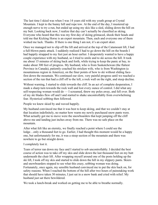The last time I skied was when I was 14 years old with my youth group at Crystal Mountain. I kept to the bunny hill and rope tow. At the end of the day, I mustered up enough nerve to try a run, but ended up using my skis like a sled, sliding down the hill on my butt. Looking back now, I realize that day can't actually be classified as skiing. Everyone who heard that this was my first day of skiing grimaced, shook their heads and told me that Kicking Horse is an expert mountain. Then, each and everyone one of them wished me luck. Thanks. If there is one thing I am not, it's an expert skier.

Once we managed not to slip off the lift and arrived at the top of the Catamount lift, I had a full-blown panic attack. I suddenly realized I had to go down the hill on the boards I had happily strapped to my feet just an hour earlier. I desperately wanted to have a happy couple experience with my husband, so I tried to smile and to ski across the hill. It took me about 15 minutes of skiing back and forth, while trying to keep the panic at bay, to make about 300 feet of progress. My husband, who is from Saskatchewan (the flattest Province in Canada), patiently coached his stricken wife, who is from Washington (a mountainous region in America), on the finer points of how to ski without sliding facefirst down the mountain. We continued our slow, very painful progress until we reached a section of the run that had a cliff off to the left, a rock wall on the right, and steep decline.

Without warning, I started to slide towards the cliff. In an act of complete desperation, I made a sharp turn towards the rock wall and lost every ounce of control. I did what any self-respecting woman would do — I screamed, threw my poles away, and fell over. Both of my ski blades flew off and I and started to shake uncontrollably from overwhelming fear. Hysterical sobbing then followed.

People we knew skied by and waved happily.

My husband convinced me that it was best to keep skiing, and that we couldn't stay at that location indefinitely, no matter how warm my newly purchased snow pants were. What actually got me to move were the snowboarders that kept jumping off the cliff above me and landing just inches away from me. There was no safe place on the mountain.

After what felt like an eternity, we finally reached a point where I could see the lodge…only a thousand feet to go. Earlier, I had thought this moment would be a happy one, but unfortunately for me, it was a steep section of the mountain and there was nowhere to go but straight down.

#### I completely lost it.

Tears of terror ran down my face and I started to sob uncontrollably. I decided the best course of action was to take off my skis and slide down the last thousand feet on my butt underneath the chair lift. After wrapping myself around one of the posts holding up the ski lift, I took off my skis and started to slide down the hill in my slippery pants. Skiers and snowboarders stopped to see what this crazy, sobbing woman was doing. Fortunately, once again, my sensible husband convinced me to put the skis back on, for safety reasons. When I reached the bottom of the hill after two hours of painstaking work that should have taken 30 minutes, I just sat in a snow bank and cried with relief. My husband just sat there bewildered.

We took a lunch-break and worked on getting me to be able to breathe normally.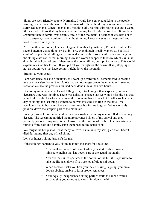Skiers are such friendly people. Normally, I would have enjoyed talking to the people visiting from all over the world. One woman asked how the skiing was and my response surprised even me. When I opened my mouth to talk, painful sobs poured out and I wept. She seemed to think that my boots were hurting my feet. I didn't correct her. It was less shameful than to admit I was deathly afraid of the mountain. I decided it was best not to talk to anyone, since I couldn't do it without crying. I kept my eyes on the ground and tried to overcome my fear.

After another hour or so, I decided to give it another try. After all, I'm not a quitter. The second attempt was a bit better. I didn't cry, even though I really wanted to, but I still couldn't stop without falling over. I missed some of the basics while eavesdropping on the skiing class earlier that morning. How is a woman supposed to know which ski is the downhill ski? I picked one of them to be the downhill ski, but I picked wrong. This would explain my inability to stop. If you put all your weight on the downhill ski, stopping is not an option; you just keep going straight down the mountain.

Straight to your death.

I am both tenacious and ridiculous, so I went up a third time. I remembered to breathe *and* use the safety bar on the lift. We had an hour to get down the mountain. It seemed reasonable since the previous run had been done in less than two hours.

Due to my mini panic attacks and falling over, it took longer than expected, and our departure time was looming. There was a distinct chance that we would miss the bus that would take us the 15 kilometers down the mountain back to our hotel. After such an epic day of skiing, the last thing I wanted to do was miss the bus ride to the hotel. We absolutely had to hurry and there was no choice but for me to go as fast as womanly possible down the steepest part of the mountain.

I nearly took out three small children and a snowboarder in my uncontrolled, screaming descent. The screaming notified the more advanced skiers of my arrival and they promptly got out of my way. When I arrived at the bottom of the hill, I enthusiastically ripped off my skis and happily gave them back to the rental shop.

We caught the bus just as it was ready to leave. I sunk into my seat, glad that I hadn't died during my first day of real skiing.

Let's be honest, skiing just isn't for me.

If these things happen to you, skiing may not the sport for you either:

- You break out into a cold sweat when you start to slide down a miniscule incline that isn't even part of the actual mountain.
- You ask the ski lift operator at the bottom of the hill if it's possible to take the lift back down if you are too afraid to ski down.
- When someone asks you how your day of skiing is going, you break down sobbing, unable to form proper sentences.
- Your equally inexperienced skiing partner starts to ski backwards, encouraging you to move towards him down the hill.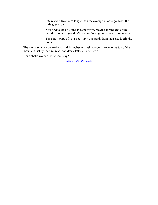- It takes you five times longer than the average skier to go down the little green run.
- You find yourself sitting in a snowdrift, praying for the end of the world to come so you don't have to finish going down the mountain.
- The sorest parts of your body are your hands from their death grip the poles.

The next day when we woke to find 14 inches of fresh powder, I rode to the top of the mountain, sat by the fire, read, and drank lattes all afternoon.

I'm a chalet woman, what can I say?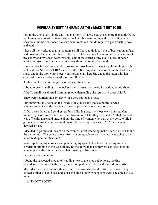# **POPULARITY ISN'T AS GRAND AS THEY MAKE IT OUT TO BE**

I go to the gym every single day…even on my off-days. Yes, this is more than a bit OCD, but I am a creature of habit and enjoy the hot tub, steam room, and foam rolling. My showers at home don't need the soap scum removed, but do require a good dusting now and again.

I keep all my workout gear at the gym, so all I have to do is roll out of bed, eat breakfast, and brush my teeth before I head to the gym. One morning I went to grab my gear out of my cubby and my shoes were missing. Out of the corner of my eye, a piece of paper winked up from me from where my shoes should normally be found.

It was a note from a woman who took some shoes home that she thought might possibly be her shoes. She wasn't 100% sure, so she left a long diatribe about how she took some shoes and if she took your shoes, you should email her. She ended the letter with her email address and a drawing of a smiling flower.

At this point in the morning, I was not a smiling flower.

I found myself standing in the locker room, dressed and ready for action, but no shoes.

A huffy email was drafted from my phone, demanding she return my shoes ASAP.

They were returned the next day with a very apologetic note.

I promptly put my name on the inside of my shoes and made a public service announcement to all the women in the change room about the shoe thief.

A few weeks later, as I got dressed for a killer leg day, my shoes went missing. One minute my shoes were there, and then two minutes later they were not. At that moment, I was officially upset and unsure about the kind of women who train at my gym. While I got ready for work, after not working out because my shoes were MIA once again, I devised a plan.

I decided to go out and look at all the women's feet intending make a scene when I found the perpetrator. The pent-up angst from not being able to train my legs was going to be unleashed upon the shoe thief.

While applying my mascara and practicing my speech, I noticed one of my friends covertly motioning to me. She quietly let me know that a somewhat confused looking woman just walked in with shoes that looked just like mine.

I staged a confrontation.

I found the suspected shoe thief standing next to the shoe cubbyholes, looking bewildered. I put my hands on my hips, stomped over to her, and minced no words.

She indeed was wearing my shoes, simply because she couldn't find her shoes. They looked similar to her shoes, and since she didn't know where hers were, she opted to use mine…

…WITHOUT SOCKS!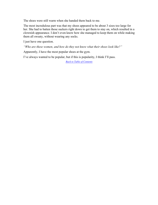The shoes were still warm when she handed them back to me.

The most incredulous part was that my shoes appeared to be about 3 sizes too large for her. She had to batten those suckers right down to get them to stay on, which resulted in a clownish appearance. I don't even know how she managed to keep them on while making them all sweaty, without wearing any socks.

I just have one question.

*"Who are these women, and how do they not know what their shoes look like?"*

Apparently, I have the most popular shoes at the gym.

I've always wanted to be popular, but if this is popularity, I think I'll pass.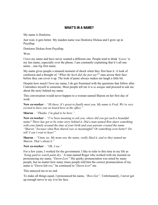### **WHAT'S IN A NAME?**

My name is Donloree.

Just wait, it gets better. My maiden name was Donloree Dickau and I grew up in Puyallup.

Donloree Dickau from Puyallup.

Wow.

I love my name and have never wanted a different one. People tend to think '*Loree'* is my last name, especially over the phone. I am constantly explaining that it's all one name…one *big* first name.

My name gives people a stunned moment of shock when they first hear it. A look of confusion and a thought of, "*What the heck did she just say?*" runs across their face before they can cover it up. The look of panic always makes me laugh a little bit.

Despite how much I love my name, I do get frustrated with the questions that follow after I introduce myself to someone. Most people tell me it is *so unique* and proceed to ask me about the story behind my name.

This conversation would never happen to a woman named Sharon on her first day of work.

**New co-worker** – *"Hi there. It's great to finally meet you. My name is Fred. We're very excited to have you on board here at the office."*

**Sharon** – *"Thanks. I'm glad to be here."*

**New co-worker** – *"I've been meaning to ask you, where did you get such a beautiful name? There has got to be some story behind it. Did a man named Ron share something with your family around the time of your birth and your parents created the name "Sharon" because what Ron shared was so meaningful? Or something even better? Do tell! I can't wait to hear!"*

**Sharon** – *"Umm, no. My mom saw the name, really liked it, and so they named me Sharon. That's about it."*

**New co-worker** – *"Oh. I see."*

For a few years, I worked for the government. I like to refer to this time in my life as *'being paid to watch paint dry.'* A man named Roger who worked with me insisted on pronouncing my name, "*Dawn-Lori*." His quirky pronunciation was noted by many people, but no matter how many times people told him the correct pronunciation of my name is "*Dawn-lah-ree,*" he continued to "*Dawn-Lori*" me.

This annoyed me to no end.

To make all things equal, I pronounced his name, *"Row-Ger".* Unfortunately, I never got up enough nerve to say it to his face.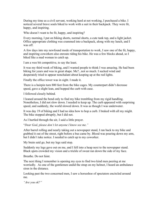During my time as a civil servant, working hard at not working, I purchased a bike. I noticed several brave souls biked to work with a suit in their backpack. They were fit, happy, and inspiring.

Who doesn't want to be fit, happy, and inspiring?

Every morning, I put on biking shorts, normal shorts, a cute tank top, and a light jacket. Office appropriate clothing was crammed into a backpack, along with my lunch, and I was off.

A few days into my newfound mode of transportation to work, I saw one of the fit, happy, and inspiring coworkers also enroute riding his bike. He was a few blocks ahead, so I biked like a mad woman to catch up.

I am a wee bit competitive, to say the least.

It was my third week of biking, and I wanted people to think I was amazing. He had been biking for years and was in great shape. Me?...not so much. I sucked wind and desperately tried to appear nonchalant about keeping up at the red lights.

Finally the office tower was in sight. I made it.

There is a hairpin turn 800 feet from the bike cages. My counterpart didn't decrease speed, gave a slight lean, and hopped the curb with ease.

I followed closely behind.

I leaned around the bend only to find my bike trembling from my rigid handling. Nonetheless, I did not slow down. I needed to keep up. The curb appeared with surprising speed, and suddenly, the world slowed down. It was as though I was underwater.

It was day 19 of biking and I had no idea how to hop a curb. I braked with all my might. The bike stopped abruptly, but I did not.

As I hurtled through the air, I said a little prayer.

"*Dear God, please don't let anyone I know see me."*

After barrel rolling and nearly taking out a newspaper stand, I ran back to my bike and grabbed it out of the street, right before a bus came by. Blood was pouring down my arm, but I didn't take notice. I needed to catch up to my coworker.

My brain said go, but my legs said stop.

Suddenly my legs gave out on me, and I fell into a heap next to the newspaper stand. Black spots crowded my vision and a trickle of sweat ran down the side of my face.

Breathe. Do not faint.

The next thing I remember is opening my eyes to find two kind men peering at me worriedly. As one of the gentlemen undid the strap on my helmet, I heard an ambulance siren in the distance.

Looking past the two concerned men, I saw a horseshoe of spectators encircled around me.

*"Are you ok?"*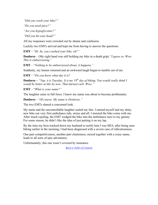*"Did you crash your bike?"*

*"Do you need juice?"*

*"Are you hypoglycemic?"*

*"Did you hit your head?"*

All my responses were crowded out by shame and confusion.

Luckily two EMTs arrived and kept me from having to answer the questions.

**EMT** – "*Hi. So, you crashed your bike, eh?"*

**Donloree** – (My right hand was still holding my bike in a death grip) *"I guess so. Wow. This is embarrassing."*

**EMT** – "*Nothing to be embarrassed about; it happens."*

Suddenly, my humor returned and an awkward laugh began to tumble out of me.

**EMT** – "*Do you know what day it is?*

**Donloree –** *"Yup, it is Tuesday. It is my 19th day of biking. You would really think I would be better at this by now. That darned curb. Wow."*

**EMT** – "*What is your name?"*

The laughter came in full force. I knew my name was about to become problematic.

**Donloree** – '*Of course. My name is Donloree."*

The two EMTs shared a concerned look.

My name and the uncontrollable laughter sealed my fate. I earned myself and my shiny new bike our very first ambulance ride, sirens and all. I insisted the bike come with me. After much cajoling, the EMT wedged the bike into the ambulance next to my gurney. For some reason, he didn't like the idea of just putting it on my lap.

By the time my boss tracked down my husband to notify him I was MIA, after being seen biking earlier in the morning, I had been diagnosed with a severe case of ridiculousness.

One part competitiveness, another part clumsiness, mixed together with a crazy name, leads to all sorts of epic adventures.

Unfortunately, this one wasn't covered by insurance.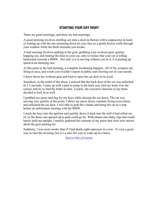# **STARTING YOUR DAY RIGHT**

There are good mornings, and there are bad mornings.

A good morning involves strolling out onto a deck in Hawaii with a cappuccino in hand or waking up with the sun streaming down on your face as a gentle breeze wafts through your window while the birds serenade you awake.

A bad morning involves parking at the gym, grabbing your workout gear, quickly hopping out, and locking the door to your car, only to realize that your car is rolling backwards towards a BMW. Not only is it is moving without you in it; it is picking up speed at an alarming rate.

At this point in the bad morning, a complete awakening happens. All of the synapses are firing at once, and words you wouldn't repeat in public start flowing out of your mouth.

I threw down my workout gear and tried to open the car door to no avail.

Somehow, in the midst of the stress, I noticed that the back door of the car was unlocked. In 2.5 seconds, I came up with a plan to jump in the back seat, hurl my body over the consul, and try to find the brake in time. Luckily, the executive function in my brain decided to kick in as well.

I grabbed my purse and dug for my keys while chasing the car down. The car was moving very quickly at this point. I threw my purse down, contents flying everywhere, and unlocked the car door. I was able to grab the e-brake and bring the car to a stop before an unfortunate meeting with the BMW.

I stuck the keys into the ignition and quickly drove it back into the stall it had rolled out of, so the three cars queued up to park could go by. With shame and shaky legs that could barely hold me upright, I meekly gathered the contents of my purse that were now strewn about the gym parking lot.

Suddenly, I was more awake than if I had drank eight espressos in a row. It's not a good way to start the morning, but it's a sure fire way to wake up in a hurry.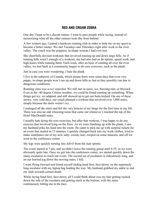# **RED AND CREAM ZEBRA**

One day I hope to be a decent runner. I want to pass people while racing, instead of memorizing what all the other runners look like from behind.

A few winters ago, I joined a hardcore running club in order to help me on my quest to become a better runner. We met Tuesdays and Thursdays right after work in the river valley. The coach was the peppiest, in-shape woman I had ever met.

She cheerfully devised workouts that involved running up and down large hills. As if running hills wasn't enough of a workout, she had also had us do sprints, speed work, and high knees while running them. Each week, after an hour of running all over the river valley, we met back at a community league to do core exercises, such as the plank.

Just in case you were wondering, I hate the plank.

I live in the subarctic of Canada, which means there were some days that even very peppy, in-shape people won't run up and down hills as fast as they possibly can due to dangerous conditions.

Running class was *never* canceled. We still met in snow, ice, freezing rain, or blizzard. Even in the -40 degree Celsius weather, we could be found running up something. When things got icy, we adapted, and still showed up to get our butts kicked. On one of these snowy, very cold days, our coach planned a workout that involved over 1,000 stairs, simply because the stairs weren't icy.

I managed all the stairs and felt the very bottom of my lungs for the first time in my life. There was also an odd wheezing noise that came out whenever I reached the top of the Hotel MacDonald stairs.

I usually hate doing the core exercises, but after that workout, I was happy to do any exercise that involved lying on the floor. As we were finishing up with the plank, I saw my husband poke his head into the room. He came to pick me up with surprise tickets for an event that started in 15 minutes. I quickly changed back into my work clothes, tried to make semblance out of my now salty, sweaty hair, swiped on some mascara, and off we went to the conference center.

My legs were quickly turning into Jell-O from the stair sprints.

The event started at 7 pm, and we didn't leave the running group until 6:55, so we were obviously quite late. Once we got into the conference center, we started quickly down the many escalators to reach our event. The second set of escalators is ridiculously long, and on our hurried jog down the moving stairs, I fell.

I went flying forward and found myself sliding head first, face-down, on the supremely long escalator with my laptop bag leading the way. My husband grabbed my ankle to end my slide towards certain death.

While laying head first, face-down, all I could think about was my hair getting sucked down the side of the escalator and getting stuck at the bottom, with the stairs continuously hitting me in the face.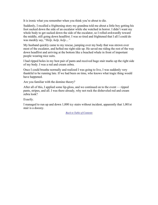It is ironic what you remember when you think you're about to die.

Suddenly, I recalled a frightening story my grandma told me about a little boy getting his foot sucked down the side of an escalator while she watched in horror. I didn't want my whole body to get sucked down the side of the escalator, so I rolled awkwardly toward the middle, still going down headfirst. I was so tired and frightened that I all I could do was meekly say, "*Help, help, help…"*

My husband quickly came to my rescue, jumping over my body that was strewn over most of the escalator, and hefted me right-side up. He saved me riding the rest of the way down headfirst and arriving at the bottom like a beached whale in front of important people wearing nice suits.

I had ripped holes in my best pair of pants and received huge stair marks up the right side of my body. I was a red and cream zebra.

Once I could breathe normally and realized I was going to live, I was suddenly very thankful to be running late. If we had been on time, who knows what tragic thing would have happened.

Are you familiar with the domino theory?

After all of this, I applied some lip-gloss, and we continued on to the event — ripped pants, stripes, and all. I was there already, why not rock the disheveled red and cream zebra look?

Exactly.

I managed to run up and down 1,000 icy stairs without incident, apparently that 1,001st stair is a doozey.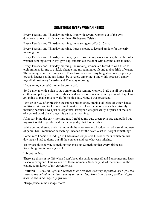# **SOMETHING EVERY WOMAN NEEDS**

Every Tuesday and Thursday morning, I run with several women out of the gym downtown at 6 am, if it's warmer than -20 degrees Celsius.

Every Tuesday and Thursday morning, my alarm goes off at 5:17 am.

Every Tuesday and Thursday morning, I press snooze twice and am late for the early morning run.

Every Tuesday and Thursday morning, I get dressed in my work clothes, throw the coldweather running outfit in my gym bag, and run out the door with a granola bar in hand.

Every Tuesday and Thursday morning, the running women are forced to wait three to eight minutes for me to quickly change into my running outfit and grab a drink of water. The running women are very nice. They have never said anything about my propensity towards lateness, although it must be severely annoying. I know this because I annoy myself almost every Tuesday and Thursday morning.

If you annoy yourself, it must be pretty bad.

So, I came up with a plan to stop annoying the running women. I laid out all my running clothes and put my work outfit, shoes, and accessories in a very cute green tote bag. I was *not* going to make anyone wait for me this day. Nope. I was organized.

I got up at 5:27 after pressing the snooze button once, drank a tall glass of water, had a multi-vitamin, and took some time to make toast. I was able to have such a leisurely morning because I was just so organized. Everyone was pleasantly surprised at the lack of a crazed wardrobe change this particular morning.

After surviving the early morning run, I grabbed my cute green gym bag and pulled out my work outfit to get dressed for the huge day that loomed ahead.

While getting dressed and chatting with the other women, I suddenly had a small moment of panic. Did I remember everything I needed for the day? What if I forgot something?

Sometimes I decide to indulge in Obsessive Compulsive Disorder fears, which on this day meant I had to dump out all the contents and see what was missing.

To my absolute horror, something *was* missing. Something that every girl needs. Something that is non-negotiable.

I forgot my bra.

There are times in my life when I can't keep the panic to myself and I announce my latest fiasco to everyone. This was one of those moments. Suddenly, all of the women in the change room knew of my current crisis.

**Donloree** – *"Oh…my…gosh! I decided to be prepared and very organized last night. But I was so organized that I didn't put my bra in my bag. How is that even possible? A girl needs a bra in her day! My gracious."*

\*Huge pause in the change room\*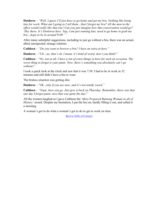**Donloree** – *"Well, I guess I'll just have to go home and get my bra. Nothing like being* late for work. What am I going to I tell them...that I forgot my bra? All the men in the *office would really like that one! Can you just imagine how that conversation would go? 'Hey there. It's Donloree here. Yup, I am just running late, need to go home to grab my bra…hope to be in around 9:00.' "*

After many unhelpful suggestions, including to just go without a bra, there was an actual, albeit unexpected, strange solution.

**Cathleen** – *"Do you want to borrow a bra? I have an extra in here."*

**Donloree** – "*Uh…no, that's ok. I mean, it's kind of weird, don't you think?"*

**Cathleen** – "*No, not at all. I have a ton of extra things in here for such an occasion. The worst thing to forget is your pants. Now, there's something you absolutely can't go without!"*

I took a quick look at the clock and saw that it was 7:58. I had to be in work in 32 minutes and still didn't have a bra to wear.

The braless situation was getting dire.

**Donloree** – "*Ok...only if you are sure, and it's not totally weird."*

**Cathleen** – *"Nope, here you go. Just give it back on Thursday. Remember, there was that one day I forgot pants, now that was quite the day!"*

All the women laughed as I gave Cathleen the '*Most Prepared Running Woman in all of History'* award. Despite my hesitation, I put the bra on, hardly filling it out, and called it a morning.

A woman's got to do what a woman's got to do to get to work on time.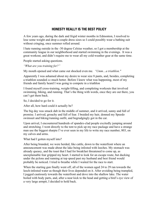# **HONESTY REALLY IS THE BEST POLICY**

A few years ago, during the dark and frigid winter months in Edmonton, I resolved to lose some weight and drop a couple dress sizes so I could possibly wear a bathing suit without cringing, once summer rolled around.

I hate running outside in the -30 degree Celsius weather, so I got a membership at the community league in our neighborhood and started swimming in the evenings. It was a great workout, and didn't require me to wear all my cold-weather gear at the same time.

People started asking questions.

*"What are you training for?"*

My mouth opened and what came out shocked even me. *"Umm…a triathlon."*

Apparently I was ashamed about my desire to wear size 8 pants, and, besides, completing a triathlon sounded *so* much better. Before I knew what was happening, most of my friends and family heard I was going to compete in a triathlon

I found myself cross-training, weight-lifting, and completing workouts that involved swimming, biking, and running. That's the thing with words, once they are out there, you can't get them back.

So, I decided to go for it.

After all, how hard could it actually be?

The big day was smack dab in the middle of summer, and it arrived, sunny and full of promise. I arrived, grouchy and full of fear. I braided my hair, donned my Speedo swimsuit and biking/running outfit, and begrudgingly got in the car.

Upon arrival, I encountered hundreds of spandex-clad people excitedly jumping around and stretching. I went directly to the tent to pick up my race package and have a strange man use the biggest sharpie I've ever seen in my life to write my race number, 803, on my calves and arms.

What had I gotten myself into?

After being branded, we were herded, like cattle, down to the waterfront where an announcement was made about the lake being infested with leeches. My stomach was already queasy, and the toast that I had for breakfast threatened to come up, as unexplainable fear gripped my heart. I started to look for an escape route, but ducking under the pylons and running at top speed past my husband and best friend would probably be noticed. I tried to breathe while I waited for the race to start.

When the starting gun finally went off, all of the women aged 24 to 29 ran towards the leech-infested water as though their lives depended on it. After avoiding being trampled, I jogged cautiously towards the waterfront and dove into the shallow lake. The water boiled with body parts, and, after a near kick to the head and getting a bird's eye view of a very large armpit, I decided to hold back.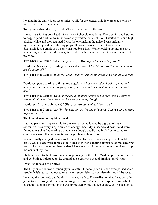I waited in the ankle deep, leech-infested silt for the crazed athletic women to swim by me before I started up again.

To my immediate dismay, I couldn't see a darn thing in the water.

It was like sticking your head into a bowl of chocolate pudding. Panic set in, and I started to doggie paddle while my mind feverishly worked out a solution. I started to hear a highpitched whine and then realized, I was the one making the noise. I was officially hyperventilating and even the doggie paddle was too much. I didn't want to be disqualified, so I employed a panic inspired back float. While looking up into the sky, wondering what the world I was going to do, the heads of two men in a canoe came into my view.

**Two Men in a Canoe**: *"Miss, are you okay? Would you like us to help you?"*

**Donloree**: (awkwardly treading the waist deep water) *"YES! But wait! Does that mean I am disqualified?"*

**Two Men in a Canoe**: "*Well, yes…but if you're struggling, perhaps we should take you out."*

**Donloree**: (tears starting to fill up my goggles) *"I have worked so hard to get here! I have to finish. I have to keep going. Can you row next to me, just to make sure I don't die?"*

**Two Men in a Canoe**: "*Umm, there are a lot more people in the race, and we have to watch all of them. Hmm. We can check on you later, though."*

**Donloree**: (in a wobbly voice) *"Okay, that would be nice. Thank you."*

**Two Men in a Canoe**: *"And by the way, you're floating off course. You're going to want to go that way."*

The longest swim of my life ensued.

Battling panic and hyperventilation, as well as being lapped by a group of men swimmers, took every single ounce of energy I had. My husband and best friend were forced to watch a floundering woman use a doggie paddle and back float method to complete a swim that took six times longer than it should have.

When I finally emerged victorious from the leech-infested, waist-deep lake, I could barely walk. There were three canoes filled with men paddling alongside of me, cheering me on. That was the most cheerleaders I have ever had for one of the most embarrassing moments of my life.

I hobbled over to the transition area to get ready for the bike. Most people pull on shorts and get biking. I plopped to the ground, ate a granola bar, and drank a ton of water.

I was just relieved to be alive.

The hilly bike ride was surprisingly uneventful. I made good time and even passed some people. It felt reassuring not to require any supervision to complete this leg of the race.

I entered the run tired, but the finish line was visible. The realization that I was actually going to live through this adventure invigorated me. Much to the surprise of my athletic husband, I took off sprinting. He was impressed by my sudden energy, and he decided to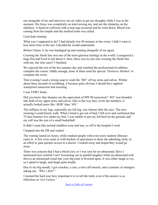run alongside of me and interview me on video to get my thoughts while I was in the moment. His focus was completely on interviewing me, and not the obstacles on the sidelines. A head-on collision with a stop sign occurred and he went down. Blood was coming from his temple and the medical team was called.

I just kept running.

What was I supposed to do? I had already lost 40 minutes in the swim, I didn't want to lose more time in the run. I decided he would understand.

Before I knew it, he was bandaged up and running alongside of me again.

Crossing the finish line was one of the most glorious feelings in the world. I conquered a huge feat and lived to tell about it. Sure, there was no one else crossing the finish line with me, but who cares? I finished.

We enjoyed the rest of the hot summer day and watched the professional tri-athletes complete the course. Oddly enough, none of them used the special *'Donloree Method'* to complete the swim.

That evening I used a strong soap to wash the '803' off my arms and calves. Within about three seconds of scrubbing, it became quite obvious I should have applied waterproof sunscreen that morning.

I was VERY burnt.

Did you know that sharpies are the equivalent of SPF 80 sunscreen? '*803*' was branded into both of my upper arms and calves. Due to the way they wrote the numbers, it actually looked more like '*BOB'* than '*803*.'

The stiffness in my legs, especially my left leg, was intense after the race. The next morning I could barely walk. When I tried to get out of bed, I fell over and confirmed that 74 dust bunnies live under my bed. I was unable to put my left heel on the ground, and my calf was the size of a small basketball.

It didn't seem like normal triathlon wear and tear, so off to the hospital I went.

I hopped into the ER and waited.

The waiting lasted six hours, while random people with even more random illnesses came in. A few even came in with buckets of specimens to show the admitting clerk, in an effort to gain quicker access to a doctor. I looked away and hoped they would go away.

There was concern that I had a blood clot, so I was sent for an ultrasound. Have I mentioned how ticklish I am? Screaming out in painful laughter while an ultrasound tech shoves an ultrasound wand into your hip joint is frowned upon. It was either laugh or cry, so I opted to laugh, and laugh quite loudly.

Due to my big mouth, I got crutches, a cast, a torn calf muscle, and a summer of strangers asking me, *"Who's Bob?"*

I learned the hard way how important it is to tell the truth, even if the answer is as ridiculous as '*size 8 pants*.'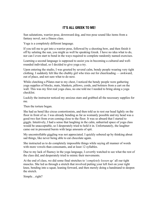# **IT'S ALL GREEK TO ME!**

Sun salutations, warrior pose, downward dog, and tree pose sound like items from a fantasy novel, not a fitness class.

Yoga is a completely different language.

If you tell me to get into a warrior pose, followed by a shooting bow, and then finish it off by saluting the sun, you might as well be speaking Greek. I have no idea what to do, nor can I even start to bend in the ways required to complete randomly named exercises.

Learning a second language is supposed to assist you in becoming a cultured and wellrounded individual, so I decided to give yoga a try.

Upon entering the studio, I was greeted by several calm, bendy people wearing very tight clothing. I suddenly felt like the chubby girl who tries out for cheerleading — awkward, out of place, and not sure what to do next.

While clutching a Pilates mat to my chest, I noticed the bendy people were gathering yoga supplies of blocks, mats, blankets, pillows, cords, and bolsters from a cart on the wall. This was my first real yoga class, no one told me I needed to bring along a yoga checklist.

Luckily the instructor noticed my anxious stare and grabbed all the necessary supplies for me.

Then the torture began.

She had us bend like circus contortionists, and then told us to rest our head lightly on the floor in front of us. I was already bending as far as womanly possible and my head was a good two feet from even coming close to the floor. It was so absurd that I started to giggle. Intuitively, I had a sense that laughing in the calm, unhurried space of yoga class would be unacceptable, so I desperately tried to hold it in. Unfortunately, the laughter came out in pressured bursts with large amounts of spit.

My uncontrollable giggling was not appreciated. I quickly sobered up by thinking about sad things, like never being able to eat chocolate again.

She instructed us to do completely impossible things while saying all manner of words with more vowels than consonants, and at least 12 syllables.

Due to my lack of fluency in the yoga language, I covertly watched to see what the rest of the class did, and desperately tried to mimic their movements.

At the end of class, we did some final stretches to '*completely loosen up'* all our tight muscles. She led us through a stretch that involved putting your left foot on your right knee, bending into a squat, leaning forward, and then merely doing a handstand to deepen the stretch.

Simple…right?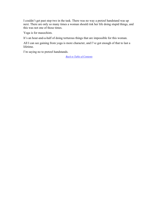I couldn't get past step two in the task. There was no way a pretzel handstand was up next. There are only so many times a woman should risk her life doing stupid things, and this was not one of those times.

Yoga is for masochists.

It's an hour-and-a-half of doing torturous things that are impossible for this woman.

All I can see gaining from yoga is more character, and I've got enough of that to last a lifetime.

I'm saying no to pretzel handstands.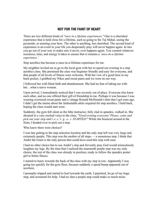# **NOT FOR THE FAINT OF HEART**

There are two different kinds of *"once in a lifetime experiences."* One is a cherished experience that is held close for a lifetime, such as going to the Taj Mahal, seeing the pyramids, or meeting your hero. The other is anything, but cherished. The second kind of experience is an event in your life you desperately pray will never happen again. In fact you go out of your way to make sure it never, ever happens again. You commit whatever resources, time, and energy it takes to ensure that it remains a *'once-in-a-lifetime experience.'*

Step aerobics has become a once-in-a-lifetime experience for me.

My neighbor invited me to go to the local gym with her to spend our evening in a step aerobics class. She promised the class was beginner friendly and easy for everyone, and that people of all levels of fitness were welcome. With her vow of a good time in my back pocket, I grabbed my Nikes and sweat pants and we were on our way.

I followed her with blind faith and abandonment. She had no fear of taking me with her what a naive woman.

Upon arrival, I immediately noticed that I was severely out of place. Everyone else knew each other, and no one offered their gift of friendship to me. Perhaps it was because I was wearing oversized sweat pants and a vintage Ronald McDonald t-shirt that I got eons ago. I didn't get the memo about the fashionable attire required for step aerobics. I held back, hoping the class would start soon.

Suddenly, the gym fell silent as the lithe instructor, fully clad in spandex, walked in. She shouted in a very excited voice to the class, *"Good evening everyone! Please, come and pick out your step and l..e..t..'s g...e...t STARTED!"* While she bounced around at the front, I headed over to pick out a step.

Who knew there were choices?

I was late getting to the step selection location and the only step left was very large and extremely purple. This step was the mother of all steps — a monstrous step. I think that André the Giant is the only person that could have used this step with ease.

I had no other choice but to use André's step and fervently pray God would miraculously lengthen my legs. By the time that I realized the mammoth purple step was my only choice, the rest of the class was already in position, ready to follow the spandex poster girl to better fitness.

I started to hurry towards the back of the class with my step in tow. Apparently I was going too quickly for the gym floor, because suddenly a speed bump appeared out of nowhere.

I promptly tripped and started to hurl towards the earth. I panicked, let go of my huge step, and screamed for help. I had no idea a purple step could make so much noise.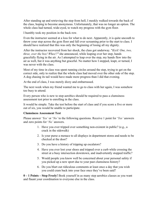After standing up and retrieving the step from hell, I meekly walked towards the back of the class, hoping to become anonymous. Unfortunately, that was no longer an option. The whole class had turned, wide-eyed, to watch my progress with the gym floor.

I humbly took my position in the back row.

Even the instructor seemed at a loss for what to do next. Apparently, it is quite uncouth to throw your step across the gym floor and fall over screaming prior to the start to class. I should have realized that this was only the beginning of losing all my dignity.

After the instructor recovered from her shock, the class got underway. "*Kick! One, two, three, over the box! Whee!!"* she announced, while leaping over her step, hands gracefully flying in the air. As I attempted to leap over the step, my hands flew into the air as well, but it was anything but graceful. No matter how I stepped, leapt, or turned, I was never with the class.

Most of my time in class was spent running circles around the step, trying to get on the correct side, only to realize that the whole class had moved over the other side of the step. A dog chasing its tail would have made more progress than I did that evening.

At the end of class, I was merely dizzy and embarrassed.

The next week when my friend wanted me to go to class with her again, I was somehow too busy to attend.

Every person who is new to step aerobics should be required to pass a clumsiness assessment test prior to enrolling in the class.

It would be simple. Take the test before the start of class and if you score a five or more out of six, you would be unable to participate.

#### **Clumsiness Assessment Test**

Please answer '*Yes'* or '*No'* to the following questions. Receive 1 point for '*Yes'* answers and zero points for '*No'* answers.

- 1. Have you ever tripped over something non-existent in public? (e.g., a crack in the sidewalk)
- 2. Is your purse a menace to all displays in department stores and needs to be checked at the door?
- 3. Do you have a history of tripping up escalators?
- 4. Have you ever lost your shoes and tripped over a curb while crossing the street at a busy intersection downtown, and inadvertently stopped traffic?
- 5. Would people you know well be concerned about your personal safety if you picked up a new sport due to your past clumsiness history?
- 6. Do you blurt out ridiculous comments at least once a day that you wish you could cram back into your face once they've been said?

**0 – 1 Points – Step Freely!** Book yourself in as many step aerobics classes as you want and flaunt your coordination to everyone else in the class.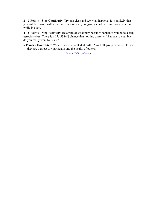**2 – 3 Points – Step Cautiously.** Try one class and see what happens. It is unlikely that you will be cursed with a step aerobics mishap, but give special care and consideration while in class.

**4 – 5 Points – Step Fearfully.** Be afraid of what may possibly happen if you go to a step aerobics class. There is a 17.49386% chance that nothing crazy will happen to you, but do you really want to risk it?

**6 Points – Don't Step!** We are twins separated at birth! Avoid all group exercise classes — they are a threat to your health and the health of others.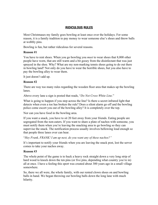# **RIDICULOUS RULES**

Most Christmases my family goes bowling at least once over the holidays. For some reason, it is a family tradition to pay money to wear someone else's shoes and throw balls at wobbly pins.

Bowling is fun, but rather ridiculous for several reasons.

#### **Reason #1**

You have to rent shoes. When you go bowling you *must* to wear shoes that 8,000 other people have worn, that are still warm and a bit gooey from the disinfectant that was just sprayed in the shoe. Why? What are my non-marking tennis shoes going to do out there in bowling land? Not only do you have to wear the horrible shoes, but you also have to pay the bowling alley to wear them.

It just doesn't add up.

#### **Reason #2**

There are way too many rules regarding the wooden floor area that makes up the bowling lanes.

Above every lane a sign is posted that reads, "*Do Not Cross White Line.*"

What is going to happen if you step across the line? Is there a secret infrared light that detects when even a toe has broken the rule? Does a silent alarm go off and the bowling police come escort you out of the bowling alley? It is completely over the top.

Nor can you have food in the bowling area.

If you want a snack, you have to sit 20 feet away from your friends. Eating people are segregated from the non-eaters. If you want to share a plate of nachos with someone, you must notify them when you're leaving the snacking area to go bowling so they can supervise the snack. The notification process usually involves bellowing loud enough so that people three lanes over can hear.

"*Hey Frank, FRANK! I am up next, do you want any of these nachos?"*

It's important to notify your friends when you are leaving the snack post, lest the server comes to take your nachos away.

#### **Reason #3**

The whole point of the game is to huck a heavy rock straight down a very long strip of hard wood to knock down the ten pins (or five pins, depending what country you're in) all at once. I have a feeling this sport was created about 300 years ago in a small village somewhere.

So, there we all were, the whole family, with our rented clown shoes on and bowling balls in hand. We began throwing our bowling balls down the long lane with much hilarity.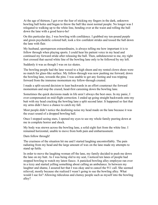At the age of thirteen, I got over the fear of sticking my fingers in the dark, unknown bowling ball holes and began to throw the ball like most normal people. No longer was I relegated to walking up to the white line, bending over at the waist and rolling the ball down the lane with a good heave-ho!

On this particular day, I was bowling with confidence. I grabbed my ten-pound purple and green psychedelic colored ball, took a few confident strides and tossed the ball down the lane with flair.

My husband, sportsperson extraordinaire, is always telling me how important it is to follow through when playing sports. I could hear his patient voice in my head and continued my forward stride after releasing the ball. Then, unbeknownst to me, my right foot crossed that sacred white line of the bowling lane only to be followed by my left.

Suddenly it was as though I was on ice skates.

The bowling people had the lane waxed to a high sheen and my rented clown shoes were no match for glass-like surface. My follow-through was now pushing me forward, down the bowling lane, towards the pins. I was unable to get any footing and was tripping forward from the immense momentum my follow-through created.

I made a split-second decision to lean backwards in an effort counteract the forward momentum and stop the crazed, head-first careening down the bowling lane.

Sometimes the quick decisions made in life aren't always the best ones. In my panic, I over-compensated on mid-flight correction. I ended up going straight backwards onto my butt with my head cracking the bowling lane a split second later. It happened so fast that my arms didn't have a chance to catch my fall.

Most people didn't notice the deafening noise my head made on the lane because it was the exact sound of a dropped bowling ball.

Once I stopped seeing stars, I opened my eyes to see my whole family peering down at me in complete horror and shock.

My body was strewn across the bowling lane, a solid eight feet from the white line. I remained horizontal, unable to move from both pain and embarrassment.

Darn follow through!

The craziness of the situation hit me and I started laughing uncontrollably. The pain radiating from my head and the large amount of wax on the lane made my attempts to stand up futile.

In order to move the laughing woman off the lane, my family decided to push me down the lane on my butt. As I was being slid to my seat, I noticed ten lanes of people had stopped bowling to watch my latest fiasco. A panicked bowling alley employee ran over in a tizzy and started yelling something about calling an ambulance. In between my laughter and shame, I assured her that I was okay and to cancel the 911 call. She seemed relieved, mostly because she realized I wasn't going to sue the bowling alley. What would I sue for? Allowing ridiculous and clumsy people such as myself into the bowling alley?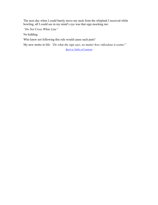The next day when I could barely move my neck from the whiplash I received while bowling, all I could see in my mind's eye was that sign mocking me:

*"Do Not Cross White Line"*

No kidding.

Who knew not following this rule would cause such pain?

My new motto in life: *"Do what the sign says, no matter how ridiculous it seems!"*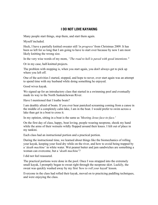# **I DO NOT LOVE KAYAKING**

Many people start things, stop them, and start them again.

Myself included.

Heck, I have a partially knitted sweater still *'in progress'* from Christmas 2009. It has been so left for so long that I am going to have to start over because by now I am most likely knitting the wrong size.

In the very wise words of my mom, *"The road to hell is paved with good intentions."*

Or in my case, half-knitted projects.

The problem with stopping is, when you start again, you don't always get to pick up where you left off.

One of the activities I started, stopped, and hope to never, ever start again was an attempt to spend time with my husband while doing something he enjoyed.

Good wives kayak.

We signed up for an introductory class that started in a swimming pool and eventually made its way to the North Saskatchewan River.

Have I mentioned that I loathe boats?

I am deathly afraid of boats. If you ever hear panicked screaming coming from a canoe in the middle of a completely calm lake, I am in the boat. I would prefer to swim across a lake than get in a boat to cross it.

In my opinion, sitting in a boat is the same as *'Meeting Jesus face-to-face.'*

On the first day of class, happy, boat loving, people wearing neoprene, shook my hand while the arms of their wetsuits wildly flopped around their knees. I felt out of place in my tankini.

Each class had an instructional portion and a practical portion.

During the instructional time, we learned about things like the biomechanics of rolling your kayak, keeping your food dry while on the river, and how to avoid being trapped by a '*death machine*' in white water. Wet peanut butter and jam sandwiches are something a woman can overcome, but a '*death machine*'?

I did not feel reassured.

The practical portions were done in the pool. Once I was strapped into the extremely small kayak, I promptly began to sweat right through the neoprene skirt. Luckily, the sweat was quickly washed away by my first *'how to roll your kayak*' lesson.

Everyone in the class had rolled their kayak, moved on to practicing paddling techniques, and were enjoying the class.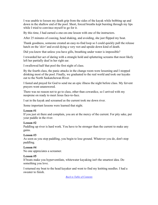I was unable to loosen my death grip from the sides of the kayak while bobbing up and down in the shallow end of the pool. Short, forced breaths kept bursting through my lips while I tried to convince myself to go for it.

By this time, I had earned a one-on-one lesson with one of the instructors.

After 25 minutes of coaxing, head shaking, and avoiding, she just flipped my boat.

Thank goodness, someone created an easy-to-find loop so I could quickly pull the release hatch on the *'skirt'* and avoid dying a very wet and upside down kind of death.

Did you know that unless you have gills, breathing under water is impossible?

I rewarded her act of daring with a strangle hold and spluttering screams that most likely left her partially deaf in her right ear.

I swallowed half that pool the first night of class.

By the fourth class, the panic attacks in the change room were lessening and I stopped drinking most of the pool. Finally, we graduated to the real world and took our kayaks out to the North Saskatchewan River.

I fasted and prayed for God to send me an epic illness the night before class. My fervent prayers went unanswered.

There was no reason not to go to class, other than cowardice, so I arrived with my neoprene on ready to meet Jesus face-to-face.

I sat in the kayak and screamed as the current took me down river.

Some important lessons were learned that night.

#### **Lesson #1**

If you just sit there and complain, you are at the mercy of the current. For pity sake, put your paddle in the river.

#### **Lesson #2**

Paddling up river is hard work. You have to be stronger than the current to make any gains.

#### **Lesson #3**

As soon as you stop paddling, you begin to lose ground. Whatever you do, don't stop paddling.

#### **Lesson #4**

No one appreciates a screamer.

#### **Lesson #5**

If boats make you hyperventilate, whitewater kayaking isn't the smartest idea. Do something you love.

I returned my boat to the head kayaker and went to find my knitting needles. I had a sweater to finish.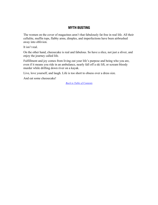# **MYTH BUSTING**

The women on the cover of magazines aren't that fabulously fat free in real life. All their cellulite, muffin tops, flabby arms, dimples, and imperfections have been airbrushed away into oblivion.

It isn't real.

On the other hand, cheesecake is real and fabulous. So have a slice, not just a sliver, and enjoy the journey called life.

Fulfillment and joy comes from living out your life's purpose and being who you are, even if it means you ride in an ambulance, nearly fall off a ski lift, or scream bloody murder while drifting down river on a kayak.

Live, love yourself, and laugh. Life is too short to obsess over a dress size.

And eat some cheesecake!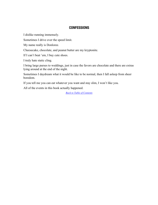### **CONFESSIONS**

I dislike running immensely.

Sometimes I drive over the speed limit.

My name really is Donloree.

Cheesecake, chocolate, and peanut butter are my kryptonite.

If I can't beat 'em, I buy cute shoes.

I truly hate static cling.

I bring large purses to weddings, just in case the favors are chocolate and there are extras lying around at the end of the night.

Sometimes I daydream what it would be like to be normal, then I fall asleep from sheer boredom.

If you tell me you can eat whatever you want and stay slim, I won't like you.

All of the events in this book actually happened.